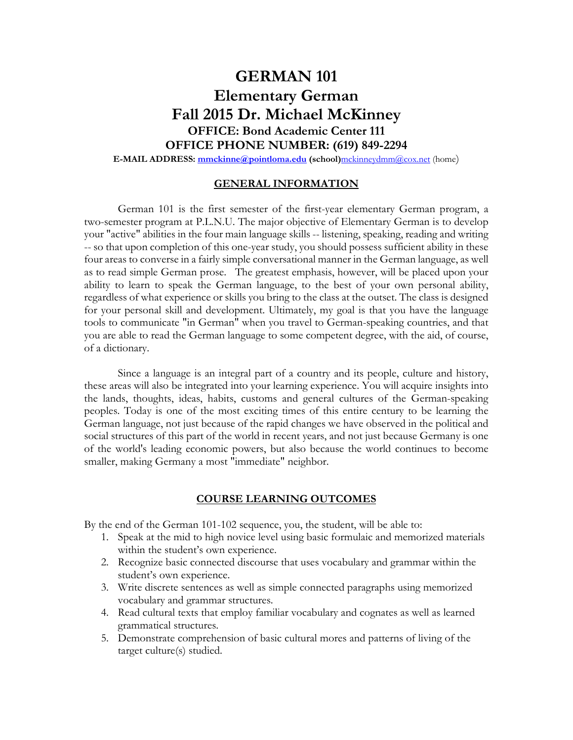# **GERMAN 101 Elementary German Fall 2015 Dr. Michael McKinney OFFICE: Bond Academic Center 111 OFFICE PHONE NUMBER: (619) 849-2294**

**E-MAIL ADDRESS: mmckinne@pointloma.edu (school)**mckinneydmm@cox.net (home)

## **GENERAL INFORMATION**

German 101 is the first semester of the first-year elementary German program, a two-semester program at P.L.N.U. The major objective of Elementary German is to develop your "active" abilities in the four main language skills -- listening, speaking, reading and writing -- so that upon completion of this one-year study, you should possess sufficient ability in these four areas to converse in a fairly simple conversational manner in the German language, as well as to read simple German prose. The greatest emphasis, however, will be placed upon your ability to learn to speak the German language, to the best of your own personal ability, regardless of what experience or skills you bring to the class at the outset. The class is designed for your personal skill and development. Ultimately, my goal is that you have the language tools to communicate "in German" when you travel to German-speaking countries, and that you are able to read the German language to some competent degree, with the aid, of course, of a dictionary.

Since a language is an integral part of a country and its people, culture and history, these areas will also be integrated into your learning experience. You will acquire insights into the lands, thoughts, ideas, habits, customs and general cultures of the German-speaking peoples. Today is one of the most exciting times of this entire century to be learning the German language, not just because of the rapid changes we have observed in the political and social structures of this part of the world in recent years, and not just because Germany is one of the world's leading economic powers, but also because the world continues to become smaller, making Germany a most "immediate" neighbor.

## **COURSE LEARNING OUTCOMES**

By the end of the German 101-102 sequence, you, the student, will be able to:

- 1. Speak at the mid to high novice level using basic formulaic and memorized materials within the student's own experience.
- 2. Recognize basic connected discourse that uses vocabulary and grammar within the student's own experience.
- 3. Write discrete sentences as well as simple connected paragraphs using memorized vocabulary and grammar structures.
- 4. Read cultural texts that employ familiar vocabulary and cognates as well as learned grammatical structures.
- 5. Demonstrate comprehension of basic cultural mores and patterns of living of the target culture(s) studied.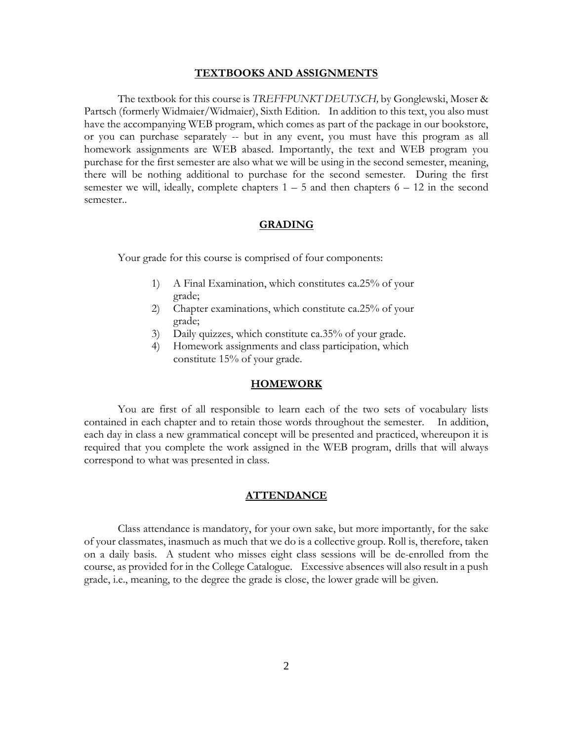#### **TEXTBOOKS AND ASSIGNMENTS**

The textbook for this course is *TREFFPUNKT DEUTSCH,* by Gonglewski, Moser & Partsch (formerly Widmaier/Widmaier), Sixth Edition. In addition to this text, you also must have the accompanying WEB program, which comes as part of the package in our bookstore, or you can purchase separately -- but in any event, you must have this program as all homework assignments are WEB abased. Importantly, the text and WEB program you purchase for the first semester are also what we will be using in the second semester, meaning, there will be nothing additional to purchase for the second semester. During the first semester we will, ideally, complete chapters  $1 - 5$  and then chapters  $6 - 12$  in the second semester..

## **GRADING**

Your grade for this course is comprised of four components:

- 1) A Final Examination, which constitutes ca.25% of your grade;
- 2) Chapter examinations, which constitute ca.25% of your grade;
- 3) Daily quizzes, which constitute ca.35% of your grade.
- 4) Homework assignments and class participation, which constitute 15% of your grade.

#### **HOMEWORK**

You are first of all responsible to learn each of the two sets of vocabulary lists contained in each chapter and to retain those words throughout the semester. In addition, each day in class a new grammatical concept will be presented and practiced, whereupon it is required that you complete the work assigned in the WEB program, drills that will always correspond to what was presented in class.

## **ATTENDANCE**

Class attendance is mandatory, for your own sake, but more importantly, for the sake of your classmates, inasmuch as much that we do is a collective group. Roll is, therefore, taken on a daily basis. A student who misses eight class sessions will be de-enrolled from the course, as provided for in the College Catalogue. Excessive absences will also result in a push grade, i.e., meaning, to the degree the grade is close, the lower grade will be given.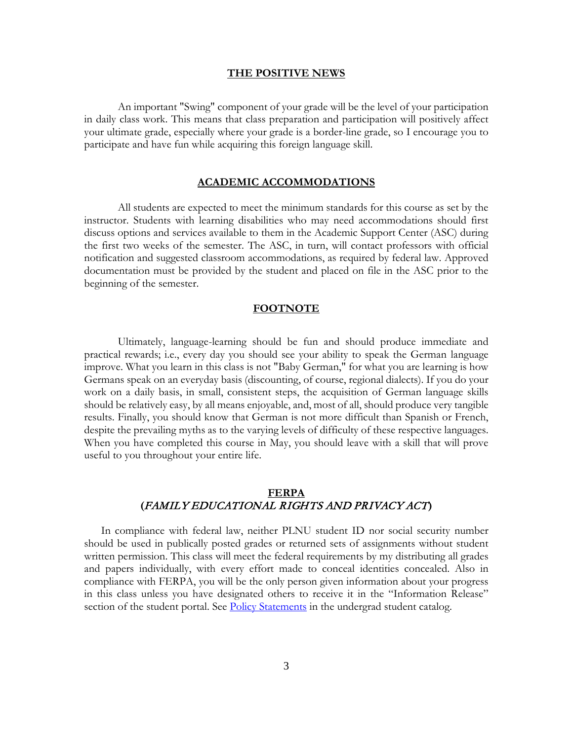#### **THE POSITIVE NEWS**

An important "Swing" component of your grade will be the level of your participation in daily class work. This means that class preparation and participation will positively affect your ultimate grade, especially where your grade is a border-line grade, so I encourage you to participate and have fun while acquiring this foreign language skill.

### **ACADEMIC ACCOMMODATIONS**

All students are expected to meet the minimum standards for this course as set by the instructor. Students with learning disabilities who may need accommodations should first discuss options and services available to them in the Academic Support Center (ASC) during the first two weeks of the semester. The ASC, in turn, will contact professors with official notification and suggested classroom accommodations, as required by federal law. Approved documentation must be provided by the student and placed on file in the ASC prior to the beginning of the semester.

#### **FOOTNOTE**

Ultimately, language-learning should be fun and should produce immediate and practical rewards; i.e., every day you should see your ability to speak the German language improve. What you learn in this class is not "Baby German," for what you are learning is how Germans speak on an everyday basis (discounting, of course, regional dialects). If you do your work on a daily basis, in small, consistent steps, the acquisition of German language skills should be relatively easy, by all means enjoyable, and, most of all, should produce very tangible results. Finally, you should know that German is not more difficult than Spanish or French, despite the prevailing myths as to the varying levels of difficulty of these respective languages. When you have completed this course in May, you should leave with a skill that will prove useful to you throughout your entire life.

# **FERPA (**FAMILY EDUCATIONAL RIGHTS AND PRIVACY ACT**)**

In compliance with federal law, neither PLNU student ID nor social security number should be used in publically posted grades or returned sets of assignments without student written permission. This class will meet the federal requirements by my distributing all grades and papers individually, with every effort made to conceal identities concealed. Also in compliance with FERPA, you will be the only person given information about your progress in this class unless you have designated others to receive it in the "Information Release" section of the student portal. See **Policy Statements** in the undergrad student catalog.